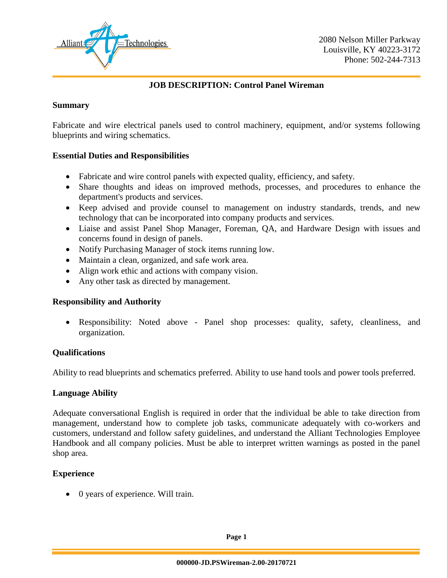

## **JOB DESCRIPTION: Control Panel Wireman**

#### **Summary**

Fabricate and wire electrical panels used to control machinery, equipment, and/or systems following blueprints and wiring schematics.

### **Essential Duties and Responsibilities**

- Fabricate and wire control panels with expected quality, efficiency, and safety.
- Share thoughts and ideas on improved methods, processes, and procedures to enhance the department's products and services.
- Keep advised and provide counsel to management on industry standards, trends, and new technology that can be incorporated into company products and services.
- Liaise and assist Panel Shop Manager, Foreman, QA, and Hardware Design with issues and concerns found in design of panels.
- Notify Purchasing Manager of stock items running low.
- Maintain a clean, organized, and safe work area.
- Align work ethic and actions with company vision.
- Any other task as directed by management.

### **Responsibility and Authority**

 Responsibility: Noted above - Panel shop processes: quality, safety, cleanliness, and organization.

### **Qualifications**

Ability to read blueprints and schematics preferred. Ability to use hand tools and power tools preferred.

#### **Language Ability**

Adequate conversational English is required in order that the individual be able to take direction from management, understand how to complete job tasks, communicate adequately with co-workers and customers, understand and follow safety guidelines, and understand the Alliant Technologies Employee Handbook and all company policies. Must be able to interpret written warnings as posted in the panel shop area.

### **Experience**

• 0 years of experience. Will train.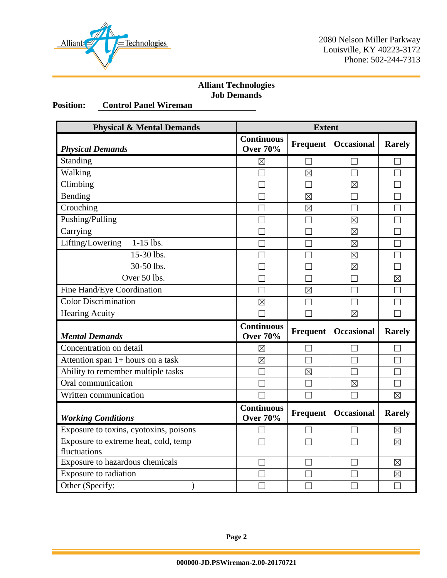

2080 Nelson Miller Parkway Louisville, KY 40223-3172 Phone: 502-244-7313

## **Alliant Technologies Job Demands**

# **Position: Control Panel Wireman**

| <b>Physical &amp; Mental Demands</b>                 | <b>Extent</b>                        |                 |                   |               |
|------------------------------------------------------|--------------------------------------|-----------------|-------------------|---------------|
| <b>Physical Demands</b>                              | <b>Continuous</b><br><b>Over 70%</b> | <b>Frequent</b> | <b>Occasional</b> | <b>Rarely</b> |
| Standing                                             | $\boxtimes$                          | $\mathbf{L}$    |                   |               |
| Walking                                              |                                      | $\boxtimes$     | - 1               | П             |
| Climbing                                             |                                      |                 | $\boxtimes$       |               |
| Bending                                              |                                      | $\boxtimes$     | - 1               |               |
| Crouching                                            |                                      | $\boxtimes$     | $\perp$           |               |
| Pushing/Pulling                                      |                                      | M               | $\boxtimes$       |               |
| Carrying                                             |                                      | П               | $\boxtimes$       |               |
| $1-15$ lbs.<br>Lifting/Lowering                      | ┑                                    | П               | $\boxtimes$       | П             |
| 15-30 lbs.                                           |                                      | L.              | $\boxtimes$       |               |
| 30-50 lbs.                                           |                                      |                 | $\boxtimes$       |               |
| Over 50 lbs.                                         |                                      |                 |                   | $\boxtimes$   |
| Fine Hand/Eye Coordination                           |                                      | $\boxtimes$     | $\Box$            |               |
| <b>Color Discrimination</b>                          | $\boxtimes$                          | H               | ×                 |               |
| <b>Hearing Acuity</b>                                |                                      |                 | $\boxtimes$       |               |
| <b>Mental Demands</b>                                | <b>Continuous</b><br><b>Over 70%</b> | <b>Frequent</b> | <b>Occasional</b> | <b>Rarely</b> |
| Concentration on detail                              | $\boxtimes$                          |                 |                   |               |
| Attention span 1+ hours on a task                    | $\boxtimes$                          | П               |                   |               |
| Ability to remember multiple tasks                   |                                      | $\boxtimes$     | $\mathsf{L}$      |               |
| Oral communication                                   |                                      |                 | $\boxtimes$       |               |
| Written communication                                |                                      |                 |                   | $\boxtimes$   |
| <b>Working Conditions</b>                            | <b>Continuous</b><br><b>Over 70%</b> | <b>Frequent</b> | <b>Occasional</b> | <b>Rarely</b> |
| Exposure to toxins, cyotoxins, poisons               |                                      |                 |                   | $\boxtimes$   |
| Exposure to extreme heat, cold, temp<br>fluctuations |                                      |                 |                   | $\boxtimes$   |
| Exposure to hazardous chemicals                      |                                      |                 |                   | $\boxtimes$   |
| Exposure to radiation                                |                                      | $\mathbf{L}$    | ×                 | $\boxtimes$   |
| Other (Specify:                                      | $\Box$                               | $\Box$          | $\mathsf{L}$      | П             |

**Page 2**